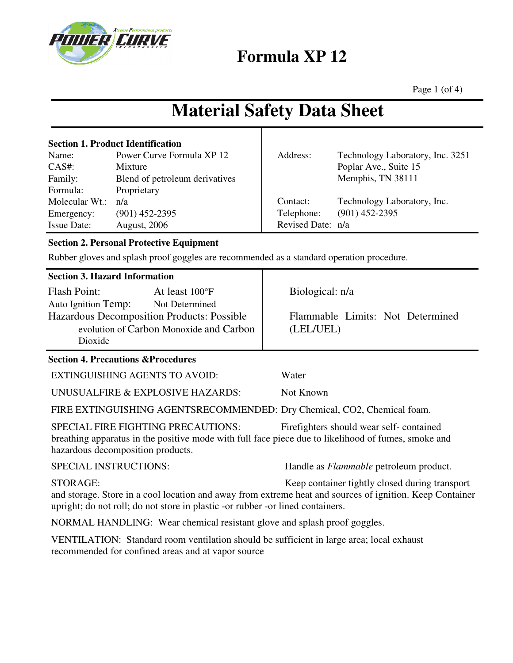

**Formula XP 12** 

Page 1 (of 4)

# **Material Safety Data Sheet**

|                    | <b>Section 1. Product Identification</b> |                   |                                  |
|--------------------|------------------------------------------|-------------------|----------------------------------|
| Name:              | Power Curve Formula XP 12                | Address:          | Technology Laboratory, Inc. 3251 |
| CAS#:              | Mixture                                  |                   | Poplar Ave., Suite 15            |
| Family:            | Blend of petroleum derivatives           |                   | Memphis, TN 38111                |
| Formula:           | Proprietary                              |                   |                                  |
| Molecular Wt.:     | n/a                                      | Contact:          | Technology Laboratory, Inc.      |
| Emergency:         | $(901)$ 452-2395                         | Telephone:        | $(901)$ 452-2395                 |
| <b>Issue Date:</b> | <b>August, 2006</b>                      | Revised Date: n/a |                                  |

### **Section 2. Personal Protective Equipment**

Rubber gloves and splash proof goggles are recommended as a standard operation procedure.

|  | <b>Section 3. Hazard Information</b> |  |
|--|--------------------------------------|--|
|  |                                      |  |

| <b>Flash Point:</b>                        | At least 100°F |  |  |  |  |
|--------------------------------------------|----------------|--|--|--|--|
| <b>Auto Ignition Temp:</b>                 | Not Determined |  |  |  |  |
| Hazardous Decomposition Products: Possible |                |  |  |  |  |
| evolution of Carbon Monoxide and Carbon    |                |  |  |  |  |
| Dioxide                                    |                |  |  |  |  |

### **Section 4. Precautions &Procedures**

EXTINGUISHING AGENTS TO AVOID: Water

UNUSUALFIRE & EXPLOSIVE HAZARDS: Not Known

FIRE EXTINGUISHING AGENTSRECOMMENDED: Dry Chemical, CO2, Chemical foam.

SPECIAL FIRE FIGHTING PRECAUTIONS: Firefighters should wear self- contained breathing apparatus in the positive mode with full face piece due to likelihood of fumes, smoke and hazardous decomposition products.

SPECIAL INSTRUCTIONS: Handle as *Flammable* petroleum product.

Flammable Limits: Not Determined

STORAGE: Keep container tightly closed during transport and storage. Store in a cool location and away from extreme heat and sources of ignition. Keep Container upright; do not roll; do not store in plastic -or rubber -or lined containers.

NORMAL HANDLING: Wear chemical resistant glove and splash proof goggles.

VENTILATION: Standard room ventilation should be sufficient in large area; local exhaust recommended for confined areas and at vapor source

Biological: n/a

(LEL/UEL)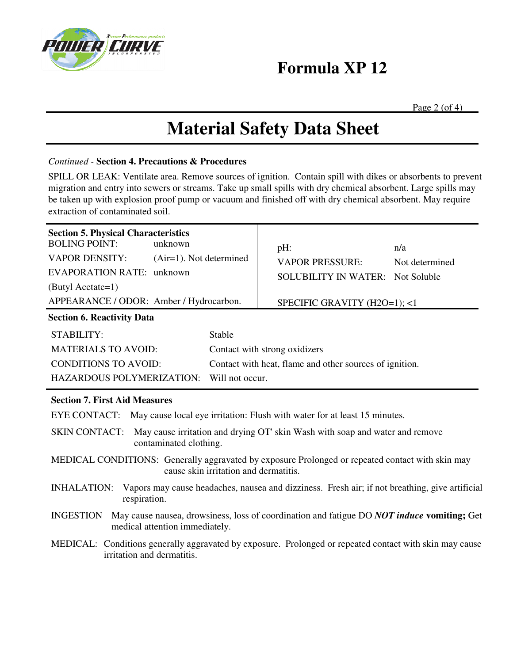

## **Formula XP 12**

Page  $2$  (of 4)

## **Material Safety Data Sheet**

#### *Continued -* **Section 4. Precautions & Procedures**

SPILL OR LEAK: Ventilate area. Remove sources of ignition. Contain spill with dikes or absorbents to prevent migration and entry into sewers or streams. Take up small spills with dry chemical absorbent. Large spills may be taken up with explosion proof pump or vacuum and finished off with dry chemical absorbent. May require extraction of contaminated soil.

| <b>Section 5. Physical Characteristics</b><br><b>BOLING POINT:</b><br>unknown<br><b>VAPOR DENSITY:</b><br>$(Air=1)$ . Not determined<br><b>EVAPORATION RATE: unknown</b><br>(Butyl Acetate=1)<br>APPEARANCE / ODOR: Amber / Hydrocarbon.<br><b>Section 6. Reactivity Data</b> |                                                     | pH:<br><b>VAPOR PRESSURE:</b><br><b>SOLUBILITY IN WATER: Not Soluble</b><br>SPECIFIC GRAVITY (H2O=1); <1 | n/a<br>Not determined |  |  |  |  |
|-------------------------------------------------------------------------------------------------------------------------------------------------------------------------------------------------------------------------------------------------------------------------------|-----------------------------------------------------|----------------------------------------------------------------------------------------------------------|-----------------------|--|--|--|--|
| <b>STABILITY:</b>                                                                                                                                                                                                                                                             | Stable                                              |                                                                                                          |                       |  |  |  |  |
| <b>MATERIALS TO AVOID:</b>                                                                                                                                                                                                                                                    | Contact with strong oxidizers                       |                                                                                                          |                       |  |  |  |  |
| <b>CONDITIONS TO AVOID:</b>                                                                                                                                                                                                                                                   |                                                     | Contact with heat, flame and other sources of ignition.                                                  |                       |  |  |  |  |
|                                                                                                                                                                                                                                                                               | <b>HAZARDOUS POLYMERIZATION:</b><br>Will not occur. |                                                                                                          |                       |  |  |  |  |
| <b>Section 7. First Aid Measures</b>                                                                                                                                                                                                                                          |                                                     |                                                                                                          |                       |  |  |  |  |
| EYE CONTACT: May cause local eye irritation: Flush with water for at least 15 minutes.                                                                                                                                                                                        |                                                     |                                                                                                          |                       |  |  |  |  |
| <b>SKIN CONTACT:</b><br>May cause irritation and drying OT' skin Wash with soap and water and remove<br>contaminated clothing.                                                                                                                                                |                                                     |                                                                                                          |                       |  |  |  |  |
| MEDICAL CONDITIONS: Generally aggravated by exposure Prolonged or repeated contact with skin may<br>cause skin irritation and dermatitis.                                                                                                                                     |                                                     |                                                                                                          |                       |  |  |  |  |
| Vapors may cause headaches, nausea and dizziness. Fresh air; if not breathing, give artificial<br><b>INHALATION:</b><br>respiration.                                                                                                                                          |                                                     |                                                                                                          |                       |  |  |  |  |
| May cause nausea, drowsiness, loss of coordination and fatigue DO NOT induce vomiting; Get<br><b>INGESTION</b><br>medical attention immediately.                                                                                                                              |                                                     |                                                                                                          |                       |  |  |  |  |
| MEDICAL: Conditions generally aggravated by exposure. Prolonged or repeated contact with skin may cause<br>irritation and dermatitis.                                                                                                                                         |                                                     |                                                                                                          |                       |  |  |  |  |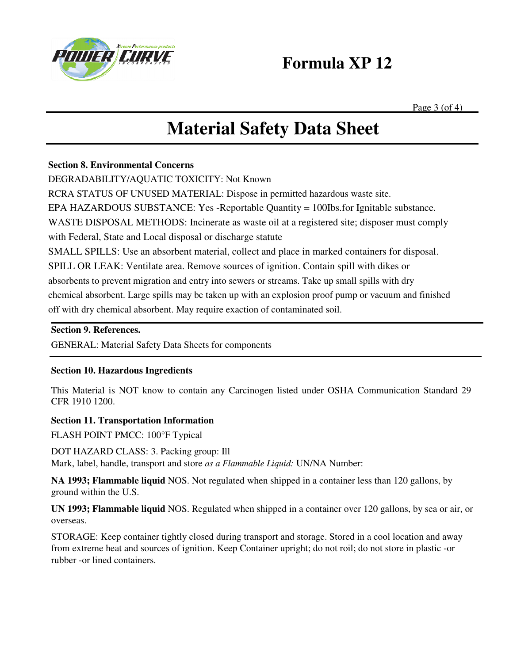

### **Formula XP 12**

Page  $3$  (of 4)

# **Material Safety Data Sheet**

#### **Section 8. Environmental Concerns**

DEGRADABILITY/AQUATIC TOXICITY: Not Known

RCRA STATUS OF UNUSED MATERIAL: Dispose in permitted hazardous waste site.

EPA HAZARDOUS SUBSTANCE: Yes -Reportable Quantity = 100Ibs.for Ignitable substance.

WASTE DISPOSAL METHODS: Incinerate as waste oil at a registered site; disposer must comply

with Federal, State and Local disposal or discharge statute

SMALL SPILLS: Use an absorbent material, collect and place in marked containers for disposal.

SPILL OR LEAK: Ventilate area. Remove sources of ignition. Contain spill with dikes or

absorbents to prevent migration and entry into sewers or streams. Take up small spills with dry

chemical absorbent. Large spills may be taken up with an explosion proof pump or vacuum and finished off with dry chemical absorbent. May require exaction of contaminated soil.

#### **Section 9. References.**

GENERAL: Material Safety Data Sheets for components

### **Section 10. Hazardous Ingredients**

This Material is NOT know to contain any Carcinogen listed under OSHA Communication Standard 29 CFR 1910 1200.

### **Section 11. Transportation Information**

FLASH POINT PMCC: 100°F Typical

DOT HAZARD CLASS: 3. Packing group: Ill

Mark, label, handle, transport and store *as a Flammable Liquid:* UN/NA Number:

**NA 1993; Flammable liquid** NOS. Not regulated when shipped in a container less than 120 gallons, by ground within the U.S.

**UN 1993; Flammable liquid** NOS. Regulated when shipped in a container over 120 gallons, by sea or air, or overseas.

STORAGE: Keep container tightly closed during transport and storage. Stored in a cool location and away from extreme heat and sources of ignition. Keep Container upright; do not roil; do not store in plastic -or rubber -or lined containers.